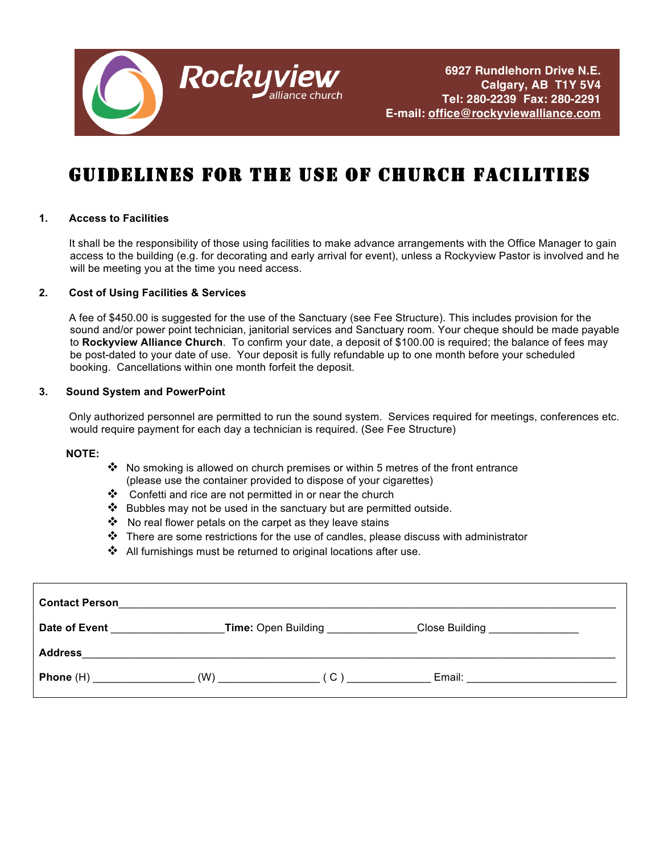

# GUIDELINES FOR THE USE OF CHURCH FACILITIES

### **1. Access to Facilities**

 It shall be the responsibility of those using facilities to make advance arrangements with the Office Manager to gain access to the building (e.g. for decorating and early arrival for event), unless a Rockyview Pastor is involved and he will be meeting you at the time you need access.

#### **2. Cost of Using Facilities & Services**

 A fee of \$450.00 is suggested for the use of the Sanctuary (see Fee Structure). This includes provision for the sound and/or power point technician, janitorial services and Sanctuary room. Your cheque should be made payable to **Rockyview Alliance Church**. To confirm your date, a deposit of \$100.00 is required; the balance of fees may be post-dated to your date of use. Your deposit is fully refundable up to one month before your scheduled booking. Cancellations within one month forfeit the deposit.

### **3. Sound System and PowerPoint**

 Only authorized personnel are permitted to run the sound system. Services required for meetings, conferences etc. would require payment for each day a technician is required. (See Fee Structure)

#### **NOTE:**

- $*$  No smoking is allowed on church premises or within 5 metres of the front entrance (please use the container provided to dispose of your cigarettes)
- ❖ Confetti and rice are not permitted in or near the church
- $\cdot \cdot$  Bubbles may not be used in the sanctuary but are permitted outside.
- $\clubsuit$  No real flower petals on the carpet as they leave stains
- $\clubsuit$  There are some restrictions for the use of candles, please discuss with administrator
- $\clubsuit$  All furnishings must be returned to original locations after use.

| <b>Contact Person</b>      | <u> 1989 - John Stone, Amerikaansk politiker (* 1989)</u> |                                       |  |
|----------------------------|-----------------------------------------------------------|---------------------------------------|--|
| Date of Event              | Time: Open Building _____________                         | Close Building ________________       |  |
| <b>Address</b>             |                                                           |                                       |  |
| <b>Phone</b> (H) $(W)$ (C) |                                                           | Email: <u>_______________________</u> |  |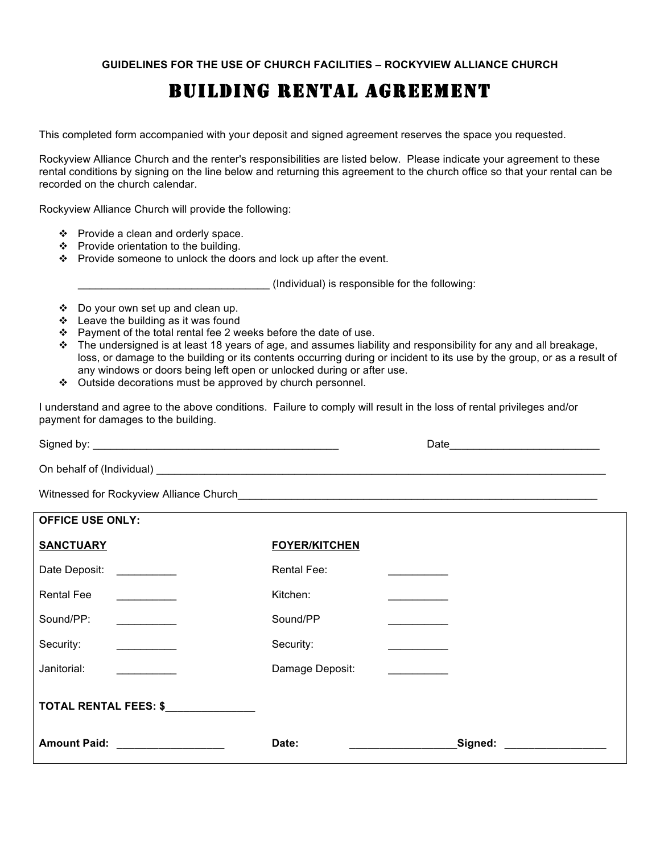### BUILDING RENTAL AGREEMENT

This completed form accompanied with your deposit and signed agreement reserves the space you requested.

Rockyview Alliance Church and the renter's responsibilities are listed below. Please indicate your agreement to these rental conditions by signing on the line below and returning this agreement to the church office so that your rental can be recorded on the church calendar.

Rockyview Alliance Church will provide the following:

- $\div$  Provide a clean and orderly space.
- ❖ Provide orientation to the building.
- \* Provide someone to unlock the doors and lock up after the event.

\_\_\_\_\_\_\_\_\_\_\_\_\_\_\_\_\_\_\_\_\_\_\_\_\_\_\_\_\_\_\_\_ (Individual) is responsible for the following:

- Do your own set up and clean up.
- $\cdot$  Leave the building as it was found
- $\div$  Payment of the total rental fee 2 weeks before the date of use.
- $\cdot \cdot$  The undersigned is at least 18 years of age, and assumes liability and responsibility for any and all breakage, loss, or damage to the building or its contents occurring during or incident to its use by the group, or as a result of any windows or doors being left open or unlocked during or after use.
- ❖ Outside decorations must be approved by church personnel.

I understand and agree to the above conditions. Failure to comply will result in the loss of rental privileges and/or payment for damages to the building.

Signed by: \_\_\_\_\_\_\_\_\_\_\_\_\_\_\_\_\_\_\_\_\_\_\_\_\_\_\_\_\_\_\_\_\_\_\_\_\_\_\_\_\_ Date\_\_\_\_\_\_\_\_\_\_\_\_\_\_\_\_\_\_\_\_\_\_\_\_\_ On behalf of (Individual) \_\_\_\_\_\_\_\_\_\_\_\_\_\_\_\_\_\_\_\_\_\_\_\_\_\_\_\_\_\_\_\_\_\_\_\_\_\_\_\_\_\_\_\_\_\_\_\_\_\_\_\_\_\_\_\_\_\_\_\_\_\_\_\_\_\_\_\_\_\_\_\_\_\_\_

Witnessed for Rockyview Alliance Church

| <b>OFFICE USE ONLY:</b>          |                      |         |
|----------------------------------|----------------------|---------|
| <b>SANCTUARY</b>                 | <b>FOYER/KITCHEN</b> |         |
| Date Deposit:                    | Rental Fee:          |         |
| <b>Rental Fee</b>                | Kitchen:             |         |
| Sound/PP:                        | Sound/PP             |         |
| Security:                        | Security:            |         |
| Janitorial:                      | Damage Deposit:      |         |
| TOTAL RENTAL FEES: \$            |                      |         |
| <b>Amount Paid:</b> Amount Paid: | Date:                | Signed: |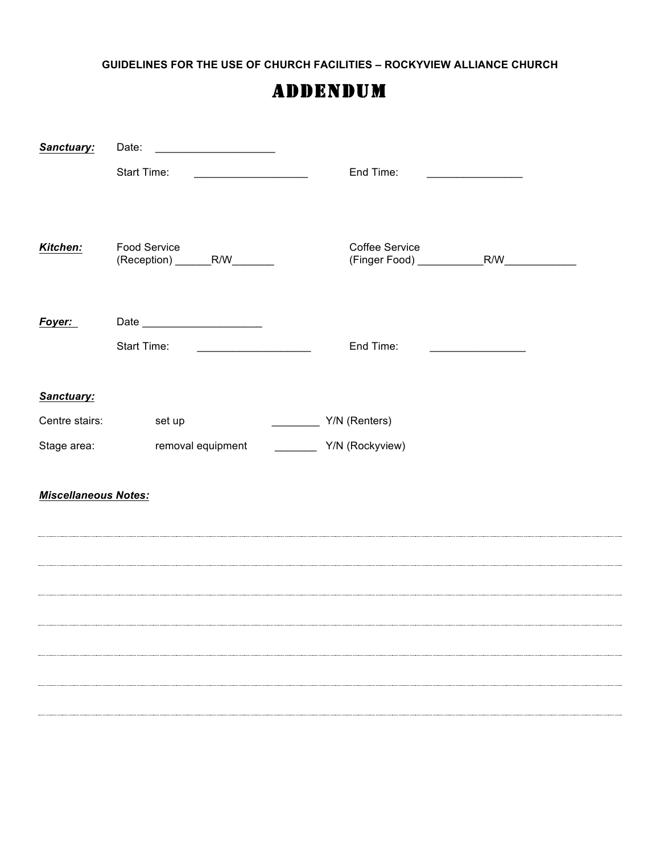**GUIDELINES FOR THE USE OF CHURCH FACILITIES – ROCKYVIEW ALLIANCE CHURCH**

## ADDENDUM

| Sanctuary:                  | Date:                                                  |                 |                                                                                                                       |  |  |
|-----------------------------|--------------------------------------------------------|-----------------|-----------------------------------------------------------------------------------------------------------------------|--|--|
|                             | Start Time:                                            | End Time:       | <u> 1990 - Johann Barn, mars and de Branch Barn, mars and de Branch Barn, mars and de Branch Barn, mars and de Br</u> |  |  |
| Kitchen:                    | <b>Food Service</b><br>(Reception) ________R/W_______  | Coffee Service  |                                                                                                                       |  |  |
| Foyer:                      |                                                        |                 |                                                                                                                       |  |  |
|                             | Start Time:<br><u> 1989 - Johann Barbara, martin a</u> | End Time:       | <u> 1990 - Johann Barbara, martxa al</u>                                                                              |  |  |
|                             |                                                        |                 |                                                                                                                       |  |  |
| Sanctuary:                  |                                                        |                 |                                                                                                                       |  |  |
| Centre stairs:              | set up                                                 | Y/N (Renters)   |                                                                                                                       |  |  |
| Stage area:                 | removal equipment                                      | Y/N (Rockyview) |                                                                                                                       |  |  |
| <b>Miscellaneous Notes:</b> |                                                        |                 |                                                                                                                       |  |  |
|                             |                                                        |                 |                                                                                                                       |  |  |
|                             |                                                        |                 |                                                                                                                       |  |  |
|                             |                                                        |                 |                                                                                                                       |  |  |
|                             |                                                        |                 |                                                                                                                       |  |  |
|                             |                                                        |                 |                                                                                                                       |  |  |
|                             |                                                        |                 |                                                                                                                       |  |  |
|                             |                                                        |                 |                                                                                                                       |  |  |